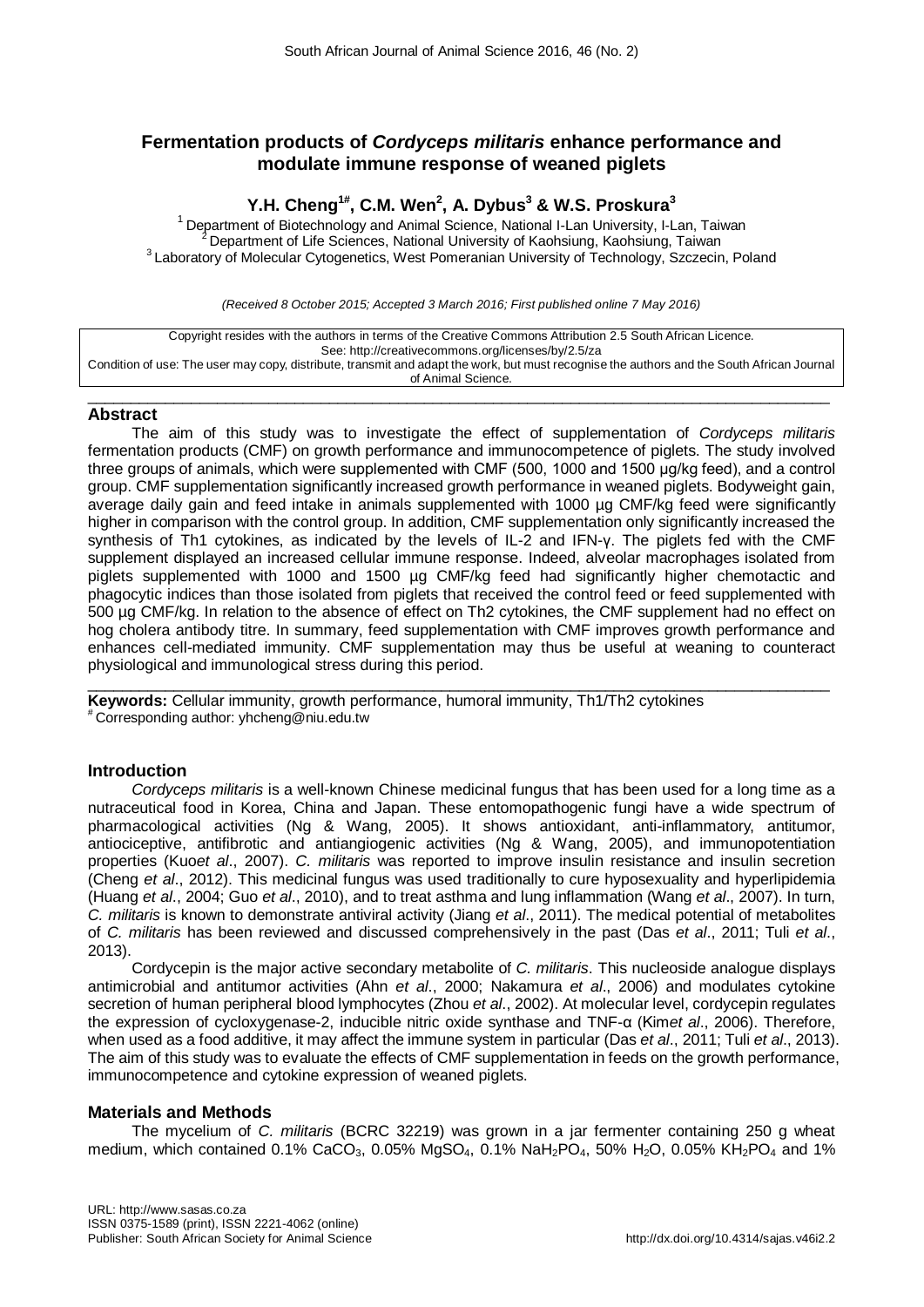# **Fermentation products of** *Cordyceps militaris* **enhance performance and modulate immune response of weaned piglets**

# **Y.H. Cheng1# , C.M. Wen2 , A. Dybus3 & W.S. Proskura<sup>3</sup>**

<sup>1</sup> Department of Biotechnology and Animal Science, National I-Lan University, I-Lan, Taiwan<br><sup>2</sup> Department of Life Sciences, National University of Kaohsiung, Kaohsiung, Taiwan<br><sup>3</sup> Laboratory of Molecular Cytogenetics, We

*(Received 8 October 2015; Accepted 3 March 2016; First published online 7 May 2016)*

| Copyright resides with the authors in terms of the Creative Commons Attribution 2.5 South African Licence.                                 |  |  |  |
|--------------------------------------------------------------------------------------------------------------------------------------------|--|--|--|
| See: http://creativecommons.org/licenses/by/2.5/za                                                                                         |  |  |  |
| Condition of use: The user may copy, distribute, transmit and adapt the work, but must recognise the authors and the South African Journal |  |  |  |
| of Animal Science.                                                                                                                         |  |  |  |

#### \_\_\_\_\_\_\_\_\_\_\_\_\_\_\_\_\_\_\_\_\_\_\_\_\_\_\_\_\_\_\_\_\_\_\_\_\_\_\_\_\_\_\_\_\_\_\_\_\_\_\_\_\_\_\_\_\_\_\_\_\_\_\_\_\_\_\_\_\_\_\_\_\_\_\_\_\_\_\_\_\_\_\_\_\_\_ **Abstract**

The aim of this study was to investigate the effect of supplementation of *Cordyceps militaris*  fermentation products (CMF) on growth performance and immunocompetence of piglets. The study involved three groups of animals, which were supplemented with CMF (500, 1000 and 1500 μg/kg feed), and a control group. CMF supplementation significantly increased growth performance in weaned piglets. Bodyweight gain, average daily gain and feed intake in animals supplemented with 1000 ug CMF/kg feed were significantly higher in comparison with the control group. In addition, CMF supplementation only significantly increased the synthesis of Th1 cytokines, as indicated by the levels of IL-2 and IFN-γ. The piglets fed with the CMF supplement displayed an increased cellular immune response. Indeed, alveolar macrophages isolated from piglets supplemented with 1000 and 1500 µg CMF/kg feed had significantly higher chemotactic and phagocytic indices than those isolated from piglets that received the control feed or feed supplemented with 500 µg CMF/kg. In relation to the absence of effect on Th2 cytokines, the CMF supplement had no effect on hog cholera antibody titre. In summary, feed supplementation with CMF improves growth performance and enhances cell-mediated immunity. CMF supplementation may thus be useful at weaning to counteract physiological and immunological stress during this period.

\_\_\_\_\_\_\_\_\_\_\_\_\_\_\_\_\_\_\_\_\_\_\_\_\_\_\_\_\_\_\_\_\_\_\_\_\_\_\_\_\_\_\_\_\_\_\_\_\_\_\_\_\_\_\_\_\_\_\_\_\_\_\_\_\_\_\_\_\_\_\_\_\_\_\_\_\_\_\_\_\_\_\_\_\_\_ **Keywords:** Cellular immunity, growth performance, humoral immunity, Th1/Th2 cytokines # Corresponding author: yhcheng@niu.edu.tw

## **Introduction**

*Cordyceps militaris* is a well-known Chinese medicinal fungus that has been used for a long time as a nutraceutical food in Korea, China and Japan. These entomopathogenic fungi have a wide spectrum of pharmacological activities (Ng & Wang, 2005). It shows antioxidant, anti-inflammatory, antitumor, antiociceptive, antifibrotic and antiangiogenic activities (Ng & Wang, 2005), and immunopotentiation properties (Kuo*et al*., 2007). *C. militaris* was reported to improve insulin resistance and insulin secretion (Cheng *et al*., 2012). This medicinal fungus was used traditionally to cure hyposexuality and hyperlipidemia (Huang *et al*., 2004; Guo *et al*., 2010), and to treat asthma and lung inflammation (Wang *et al*., 2007). In turn, *C. militaris* is known to demonstrate antiviral activity (Jiang *et al*., 2011). The medical potential of metabolites of *C. militaris* has been reviewed and discussed comprehensively in the past (Das *et al*., 2011; Tuli *et al*., 2013).

Cordycepin is the major active secondary metabolite of *C. militaris*. This nucleoside analogue displays antimicrobial and antitumor activities (Ahn *et al*., 2000; Nakamura *et al*., 2006) and modulates cytokine secretion of human peripheral blood lymphocytes (Zhou *et al*., 2002). At molecular level, cordycepin regulates the expression of cycloxygenase-2, inducible nitric oxide synthase and TNF-α (Kim*et al*., 2006). Therefore, when used as a food additive, it may affect the immune system in particular (Das *et al*., 2011; Tuli *et al*., 2013). The aim of this study was to evaluate the effects of CMF supplementation in feeds on the growth performance, immunocompetence and cytokine expression of weaned piglets.

## **Materials and Methods**

The mycelium of *C. militaris* (BCRC 32219) was grown in a jar fermenter containing 250 g wheat medium, which contained 0.1% CaCO<sub>3</sub>, 0.05% MgSO<sub>4</sub>, 0.1% NaH<sub>2</sub>PO<sub>4</sub>, 50% H<sub>2</sub>O, 0.05% KH<sub>2</sub>PO<sub>4</sub> and 1%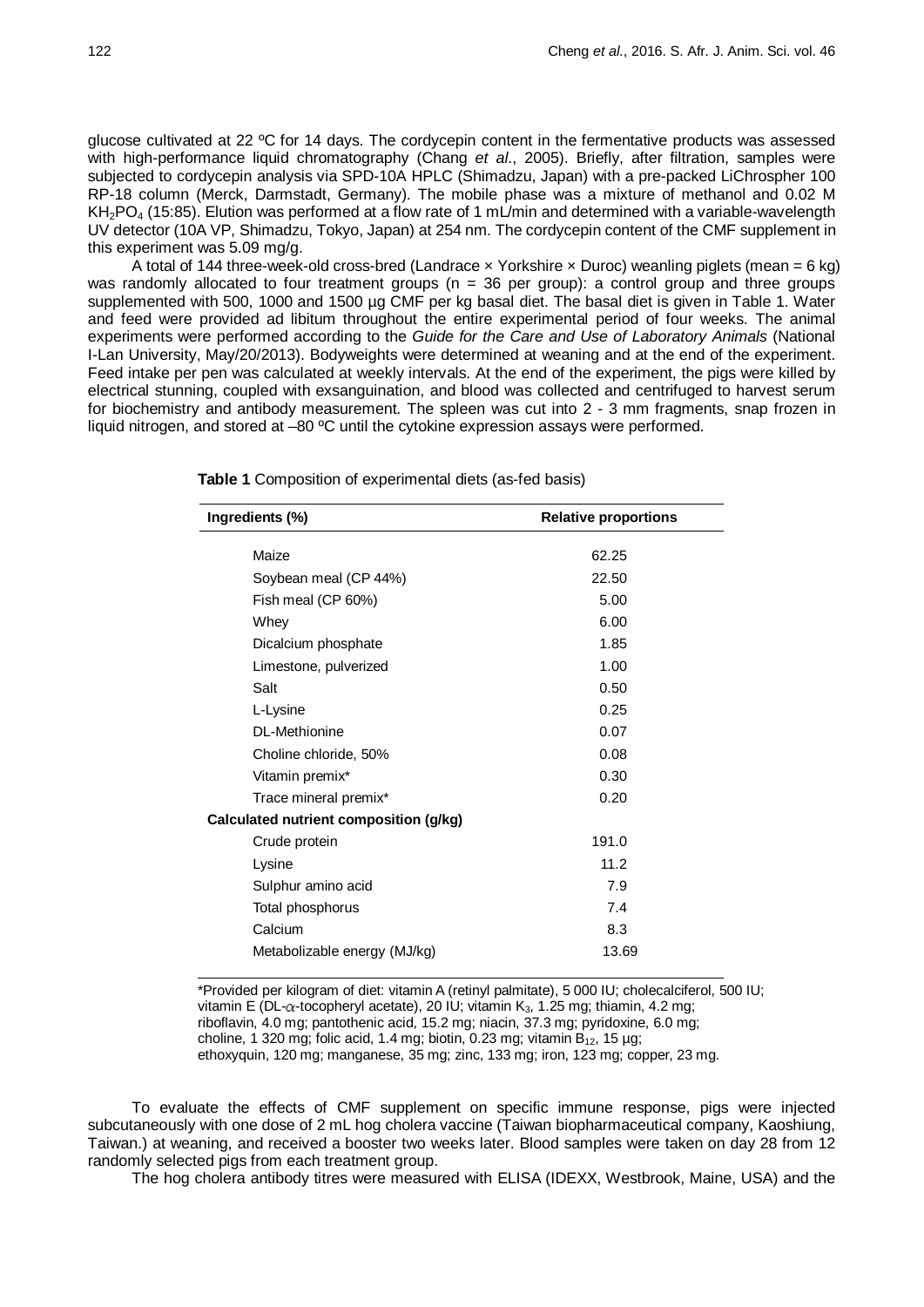glucose cultivated at 22 ºC for 14 days. The cordycepin content in the fermentative products was assessed with high-performance liquid chromatography (Chang *et al*., 2005). Briefly, after filtration, samples were subjected to cordycepin analysis via SPD-10A HPLC (Shimadzu, Japan) with a pre-packed LiChrospher 100 RP-18 column (Merck, Darmstadt, Germany). The mobile phase was a mixture of methanol and 0.02 M  $KH<sub>2</sub>PO<sub>4</sub>$  (15:85). Elution was performed at a flow rate of 1 mL/min and determined with a variable-wavelength UV detector (10A VP, Shimadzu, Tokyo, Japan) at 254 nm. The cordycepin content of the CMF supplement in this experiment was 5.09 mg/g.

A total of 144 three-week-old cross-bred (Landrace x Yorkshire x Duroc) weanling piglets (mean = 6 kg) was randomly allocated to four treatment groups ( $n = 36$  per group); a control group and three groups supplemented with 500, 1000 and 1500 µg CMF per kg basal diet. The basal diet is given in Table 1. Water and feed were provided ad libitum throughout the entire experimental period of four weeks. The animal experiments were performed according to the *Guide for the Care and Use of Laboratory Animals* (National I-Lan University, May/20/2013). Bodyweights were determined at weaning and at the end of the experiment. Feed intake per pen was calculated at weekly intervals. At the end of the experiment, the pigs were killed by electrical stunning, coupled with exsanguination, and blood was collected and centrifuged to harvest serum for biochemistry and antibody measurement. The spleen was cut into 2 - 3 mm fragments, snap frozen in liquid nitrogen, and stored at –80 ºC until the cytokine expression assays were performed.

| Ingredients (%)                        | <b>Relative proportions</b> |  |  |
|----------------------------------------|-----------------------------|--|--|
| Maize                                  | 62.25                       |  |  |
| Soybean meal (CP 44%)                  | 22.50                       |  |  |
| Fish meal (CP 60%)                     | 5.00                        |  |  |
| Whey                                   | 6.00                        |  |  |
| Dicalcium phosphate                    | 1.85                        |  |  |
| Limestone, pulverized                  | 1.00                        |  |  |
| Salt                                   | 0.50                        |  |  |
| L-Lysine                               | 0.25                        |  |  |
| <b>DL-Methionine</b>                   | 0.07                        |  |  |
| Choline chloride, 50%                  | 0.08                        |  |  |
| Vitamin premix*                        | 0.30                        |  |  |
| Trace mineral premix*                  | 0.20                        |  |  |
| Calculated nutrient composition (g/kg) |                             |  |  |
| Crude protein                          | 191.0                       |  |  |
| Lysine                                 | 11.2                        |  |  |
| Sulphur amino acid                     | 7.9                         |  |  |
| Total phosphorus                       | 7.4                         |  |  |
| Calcium                                | 8.3                         |  |  |
| Metabolizable energy (MJ/kg)           | 13.69                       |  |  |
|                                        |                             |  |  |

**Table 1** Composition of experimental diets (as-fed basis)

\*Provided per kilogram of diet: vitamin A (retinyl palmitate), 5 000 IU; cholecalciferol, 500 IU; vitamin E (DL- $\alpha$ -tocopheryl acetate), 20 IU; vitamin K<sub>3</sub>, 1.25 mg; thiamin, 4.2 mg; riboflavin, 4.0 mg; pantothenic acid, 15.2 mg; niacin, 37.3 mg; pyridoxine, 6.0 mg; choline, 1 320 mg; folic acid, 1.4 mg; biotin, 0.23 mg; vitamin  $B_{12}$ , 15  $\mu$ g; ethoxyquin, 120 mg; manganese, 35 mg; zinc, 133 mg; iron, 123 mg; copper, 23 mg.

To evaluate the effects of CMF supplement on specific immune response, pigs were injected subcutaneously with one dose of 2 mL hog cholera vaccine (Taiwan biopharmaceutical company, Kaoshiung, Taiwan.) at weaning, and received a booster two weeks later. Blood samples were taken on day 28 from 12 randomly selected pigs from each treatment group.

The hog cholera antibody titres were measured with ELISA (IDEXX, Westbrook, Maine, USA) and the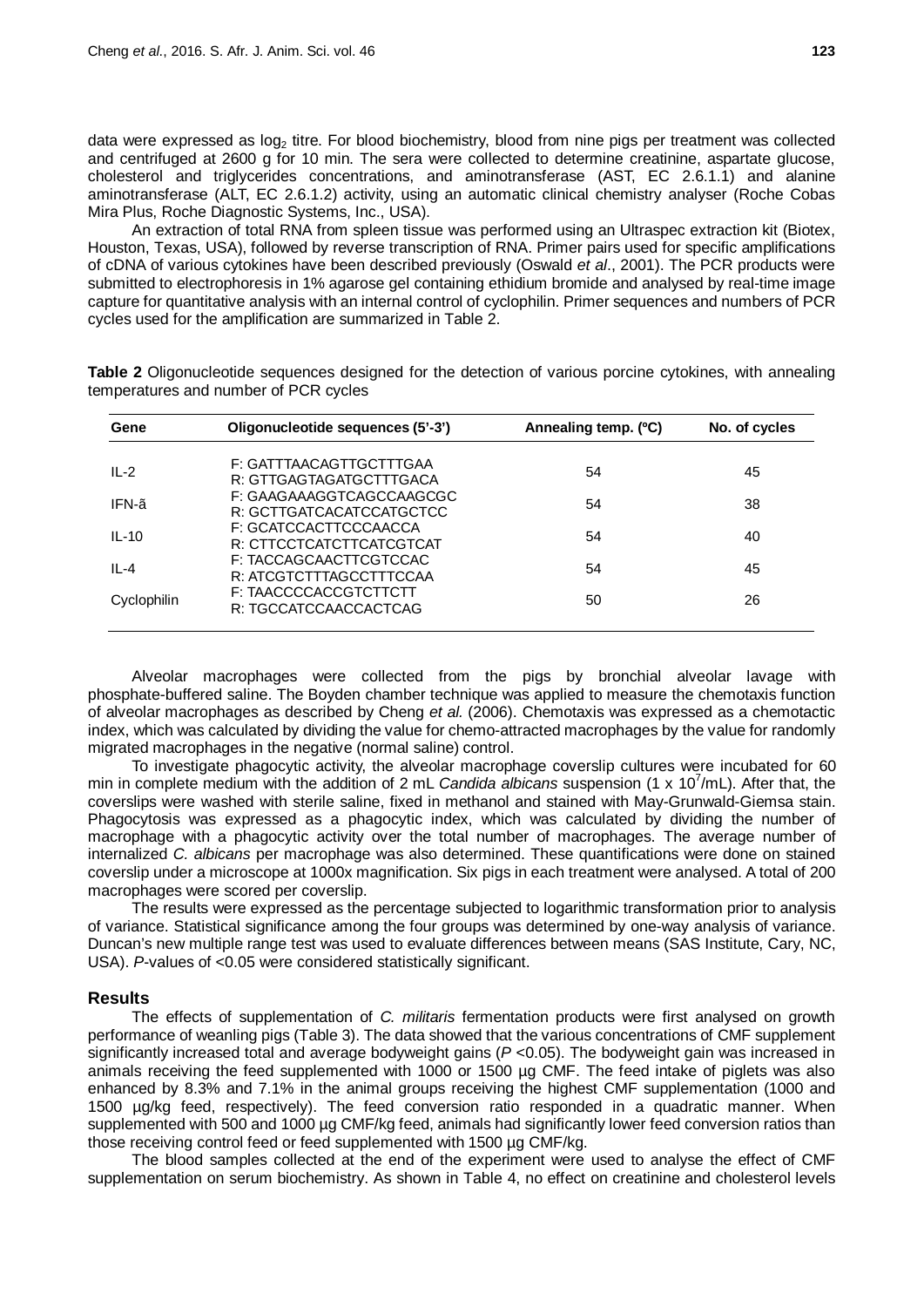data were expressed as  $log<sub>2</sub>$  titre. For blood biochemistry, blood from nine pigs per treatment was collected and centrifuged at 2600 g for 10 min. The sera were collected to determine creatinine, aspartate glucose, cholesterol and triglycerides concentrations, and aminotransferase (AST, EC 2.6.1.1) and alanine aminotransferase (ALT, EC 2.6.1.2) activity, using an automatic clinical chemistry analyser (Roche Cobas Mira Plus, Roche Diagnostic Systems, Inc., USA).

An extraction of total RNA from spleen tissue was performed using an Ultraspec extraction kit (Biotex, Houston, Texas, USA), followed by reverse transcription of RNA. Primer pairs used for specific amplifications of cDNA of various cytokines have been described previously (Oswald *et al*., 2001). The PCR products were submitted to electrophoresis in 1% agarose gel containing ethidium bromide and analysed by real-time image capture for quantitative analysis with an internal control of cyclophilin. Primer sequences and numbers of PCR cycles used for the amplification are summarized in Table 2.

| Gene        | Oligonucleotide sequences (5'-3')                    | Annealing temp. (°C) | No. of cycles |
|-------------|------------------------------------------------------|----------------------|---------------|
| $IL-2$      | F: GATTTAACAGTTGCTTTGAA<br>R: GTTGAGTAGATGCTTTGACA   | 54                   | 45            |
| IFN-ã       | F: GAAGAAAGGTCAGCCAAGCGC<br>R: GCTTGATCACATCCATGCTCC | 54                   | 38            |
| $IL-10$     | F: GCATCCACTTCCCAACCA<br>R: CTTCCTCATCTTCATCGTCAT    | 54                   | 40            |
| $IL - 4$    | F: TACCAGCAACTTCGTCCAC<br>R: ATCGTCTTTAGCCTTTCCAA    | 54                   | 45            |
| Cyclophilin | F: TAACCCCACCGTCTTCTT<br>R: TGCCATCCAACCACTCAG       | 50                   | 26            |
|             |                                                      |                      |               |

**Table 2** Oligonucleotide sequences designed for the detection of various porcine cytokines, with annealing temperatures and number of PCR cycles

Alveolar macrophages were collected from the pigs by bronchial alveolar lavage with phosphate-buffered saline. The Boyden chamber technique was applied to measure the chemotaxis function of alveolar macrophages as described by Cheng *et al.* (2006). Chemotaxis was expressed as a chemotactic index, which was calculated by dividing the value for chemo-attracted macrophages by the value for randomly migrated macrophages in the negative (normal saline) control.

To investigate phagocytic activity, the alveolar macrophage coverslip cultures were incubated for 60 min in complete medium with the addition of 2 mL *Candida albicans* suspension (1 x 107 /mL). After that, the coverslips were washed with sterile saline, fixed in methanol and stained with May-Grunwald-Giemsa stain. Phagocytosis was expressed as a phagocytic index, which was calculated by dividing the number of macrophage with a phagocytic activity over the total number of macrophages. The average number of internalized *C. albicans* per macrophage was also determined. These quantifications were done on stained coverslip under a microscope at 1000x magnification. Six pigs in each treatment were analysed. A total of 200 macrophages were scored per coverslip.

The results were expressed as the percentage subjected to logarithmic transformation prior to analysis of variance. Statistical significance among the four groups was determined by one-way analysis of variance. Duncan's new multiple range test was used to evaluate differences between means (SAS Institute, Cary, NC, USA). *P*-values of <0.05 were considered statistically significant.

### **Results**

The effects of supplementation of *C. militaris* fermentation products were first analysed on growth performance of weanling pigs (Table 3). The data showed that the various concentrations of CMF supplement significantly increased total and average bodyweight gains (*P* <0.05). The bodyweight gain was increased in animals receiving the feed supplemented with 1000 or 1500 µg CMF. The feed intake of piglets was also enhanced by 8.3% and 7.1% in the animal groups receiving the highest CMF supplementation (1000 and 1500 µg/kg feed, respectively). The feed conversion ratio responded in a quadratic manner. When supplemented with 500 and 1000 µg CMF/kg feed, animals had significantly lower feed conversion ratios than those receiving control feed or feed supplemented with 1500 µg CMF/kg.

The blood samples collected at the end of the experiment were used to analyse the effect of CMF supplementation on serum biochemistry. As shown in Table 4, no effect on creatinine and cholesterol levels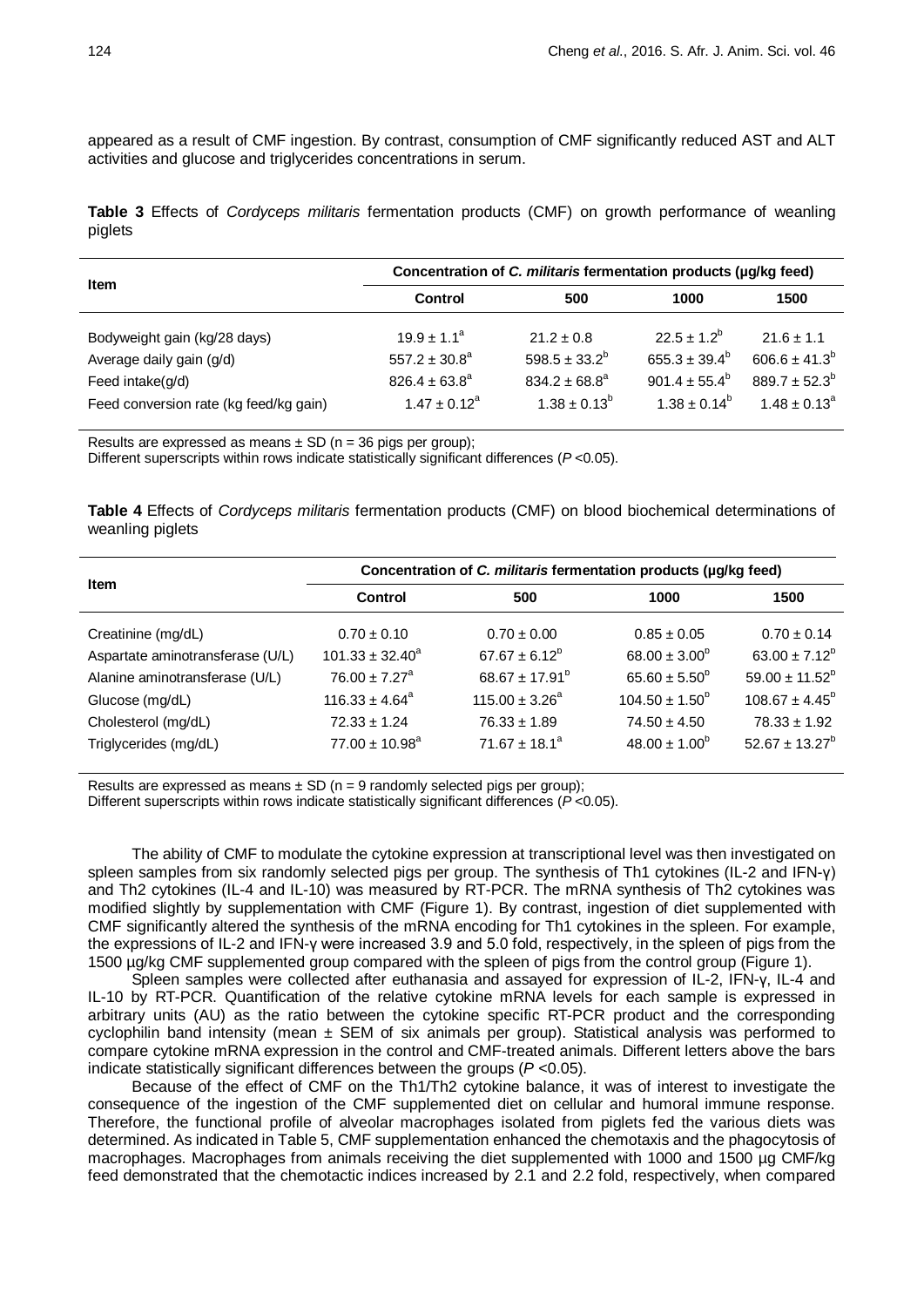appeared as a result of CMF ingestion. By contrast, consumption of CMF significantly reduced AST and ALT activities and glucose and triglycerides concentrations in serum.

**Table 3** Effects of *Cordyceps militaris* fermentation products (CMF) on growth performance of weanling piglets

| <b>Item</b>                            | Concentration of C. militaris fermentation products (µg/kg feed) |                          |                    |                    |
|----------------------------------------|------------------------------------------------------------------|--------------------------|--------------------|--------------------|
|                                        | Control                                                          | 500                      | 1000               | 1500               |
| Bodyweight gain (kg/28 days)           | $19.9 \pm 1.1^a$                                                 | $21.2 \pm 0.8$           | $22.5 + 1.2^b$     | $21.6 + 1.1$       |
| Average daily gain (g/d)               | $557.2 \pm 30.8^a$                                               | $598.5 \pm 33.2^b$       | $655.3 \pm 39.4^b$ | $606.6 \pm 41.3^b$ |
| Feed intake(g/d)                       | $826.4 \pm 63.8^a$                                               | $834.2 \pm 68.8^{\circ}$ | $901.4 \pm 55.4^b$ | $889.7 \pm 52.3^b$ |
| Feed conversion rate (kg feed/kg gain) | $1.47 \pm 0.12^a$                                                | $1.38 \pm 0.13^b$        | $1.38 \pm 0.14^b$  | $1.48 \pm 0.13^a$  |

Results are expressed as means  $\pm$  SD (n = 36 pigs per group);

Different superscripts within rows indicate statistically significant differences (*P* <0.05).

**Table 4** Effects of *Cordyceps militaris* fermentation products (CMF) on blood biochemical determinations of weanling piglets

|                                  | Concentration of C. militaris fermentation products (µg/kg feed) |                     |                               |                     |
|----------------------------------|------------------------------------------------------------------|---------------------|-------------------------------|---------------------|
| <b>Item</b>                      | <b>Control</b>                                                   | 500                 | 1000                          | 1500                |
| Creatinine (mg/dL)               | $0.70 \pm 0.10$                                                  | $0.70 \pm 0.00$     | $0.85 \pm 0.05$               | $0.70 \pm 0.14$     |
| Aspartate aminotransferase (U/L) | $101.33 \pm 32.40^a$                                             | $67.67 \pm 6.12^b$  | 68.00 $\pm$ 3.00 <sup>b</sup> | $63.00 \pm 7.12^b$  |
| Alanine aminotransferase (U/L)   | $76.00 \pm 7.27^a$                                               | $68.67 \pm 17.91^b$ | $65.60 \pm 5.50^b$            | $59.00 \pm 11.52^b$ |
| Glucose (mg/dL)                  | $116.33 \pm 4.64^a$                                              | $115.00 \pm 3.26^a$ | $104.50 \pm 1.50^b$           | $108.67 \pm 4.45^b$ |
| Cholesterol (mg/dL)              | $72.33 \pm 1.24$                                                 | $76.33 \pm 1.89$    | $74.50 \pm 4.50$              | $78.33 \pm 1.92$    |
| Triglycerides (mg/dL)            | $77.00 \pm 10.98^a$                                              | $71.67 \pm 18.1^a$  | $48.00 \pm 1.00^b$            | $52.67 \pm 13.27^b$ |

Results are expressed as means  $\pm$  SD (n = 9 randomly selected pigs per group);

Different superscripts within rows indicate statistically significant differences (*P* <0.05).

The ability of CMF to modulate the cytokine expression at transcriptional level was then investigated on spleen samples from six randomly selected pigs per group. The synthesis of Th1 cytokines (IL-2 and IFN-γ) and Th2 cytokines (IL-4 and IL-10) was measured by RT-PCR. The mRNA synthesis of Th2 cytokines was modified slightly by supplementation with CMF (Figure 1). By contrast, ingestion of diet supplemented with CMF significantly altered the synthesis of the mRNA encoding for Th1 cytokines in the spleen. For example, the expressions of IL-2 and IFN-γ were increased 3.9 and 5.0 fold, respectively, in the spleen of pigs from the 1500 µg/kg CMF supplemented group compared with the spleen of pigs from the control group (Figure 1).

Spleen samples were collected after euthanasia and assayed for expression of IL-2, IFN-γ, IL-4 and IL-10 by RT-PCR. Quantification of the relative cytokine mRNA levels for each sample is expressed in arbitrary units (AU) as the ratio between the cytokine specific RT-PCR product and the corresponding cyclophilin band intensity (mean  $\pm$  SEM of six animals per group). Statistical analysis was performed to compare cytokine mRNA expression in the control and CMF-treated animals. Different letters above the bars indicate statistically significant differences between the groups (*P* <0.05).

Because of the effect of CMF on the Th1/Th2 cytokine balance, it was of interest to investigate the consequence of the ingestion of the CMF supplemented diet on cellular and humoral immune response. Therefore, the functional profile of alveolar macrophages isolated from piglets fed the various diets was determined. As indicated in Table 5, CMF supplementation enhanced the chemotaxis and the phagocytosis of macrophages. Macrophages from animals receiving the diet supplemented with 1000 and 1500 µg CMF/kg feed demonstrated that the chemotactic indices increased by 2.1 and 2.2 fold, respectively, when compared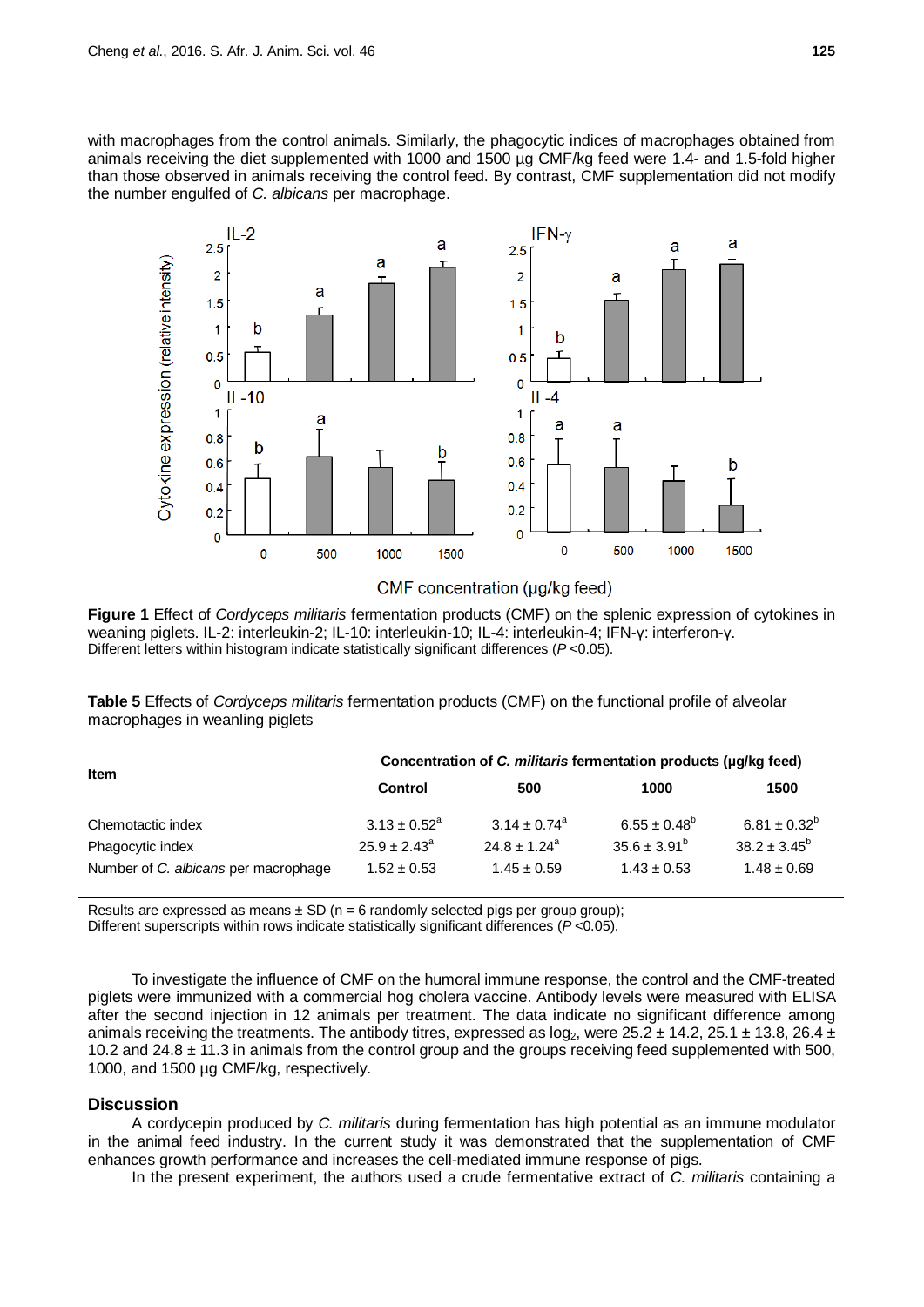with macrophages from the control animals. Similarly, the phagocytic indices of macrophages obtained from animals receiving the diet supplemented with 1000 and 1500 µg CMF/kg feed were 1.4- and 1.5-fold higher than those observed in animals receiving the control feed. By contrast, CMF supplementation did not modify the number engulfed of *C. albicans* per macrophage.



CMF concentration (µg/kg feed)

**Figure 1** Effect of *Cordyceps militaris* fermentation products (CMF) on the splenic expression of cytokines in weaning piglets. IL-2: interleukin-2; IL-10: interleukin-10; IL-4: interleukin-4; IFN-γ: interferon-γ. Different letters within histogram indicate statistically significant differences (*P* <0.05).

**Table 5** Effects of *Cordyceps militaris* fermentation products (CMF) on the functional profile of alveolar macrophages in weanling piglets

| <b>Item</b>                          | Concentration of C. militaris fermentation products (µq/kq feed) |                            |                         |                       |
|--------------------------------------|------------------------------------------------------------------|----------------------------|-------------------------|-----------------------|
|                                      | Control                                                          | 500                        | 1000                    | 1500                  |
| Chemotactic index                    | $3.13 \pm 0.52^a$                                                | $3.14 + 0.74^{\circ}$      | $6.55 \pm 0.48^{\circ}$ | $6.81 \pm 0.32^b$     |
| Phagocytic index                     | $25.9 \pm 2.43^{\circ}$                                          | $24.8 + 1.24$ <sup>a</sup> | $35.6 \pm 3.91^{\circ}$ | $38.2 + 3.45^{\circ}$ |
| Number of C. albicans per macrophage | $1.52 \pm 0.53$                                                  | $1.45 \pm 0.59$            | $1.43 \pm 0.53$         | $1.48 \pm 0.69$       |

Results are expressed as means  $\pm$  SD (n = 6 randomly selected pigs per group group); Different superscripts within rows indicate statistically significant differences (*P* <0.05).

To investigate the influence of CMF on the humoral immune response, the control and the CMF-treated piglets were immunized with a commercial hog cholera vaccine. Antibody levels were measured with ELISA after the second injection in 12 animals per treatment. The data indicate no significant difference among animals receiving the treatments. The antibody titres, expressed as log<sub>2</sub>, were 25.2  $\pm$  14.2, 25.1  $\pm$  13.8, 26.4  $\pm$ 10.2 and  $24.8 \pm 11.3$  in animals from the control group and the groups receiving feed supplemented with 500, 1000, and 1500 µg CMF/kg, respectively.

## **Discussion**

A cordycepin produced by *C. militaris* during fermentation has high potential as an immune modulator in the animal feed industry. In the current study it was demonstrated that the supplementation of CMF enhances growth performance and increases the cell-mediated immune response of pigs.

In the present experiment, the authors used a crude fermentative extract of *C. militaris* containing a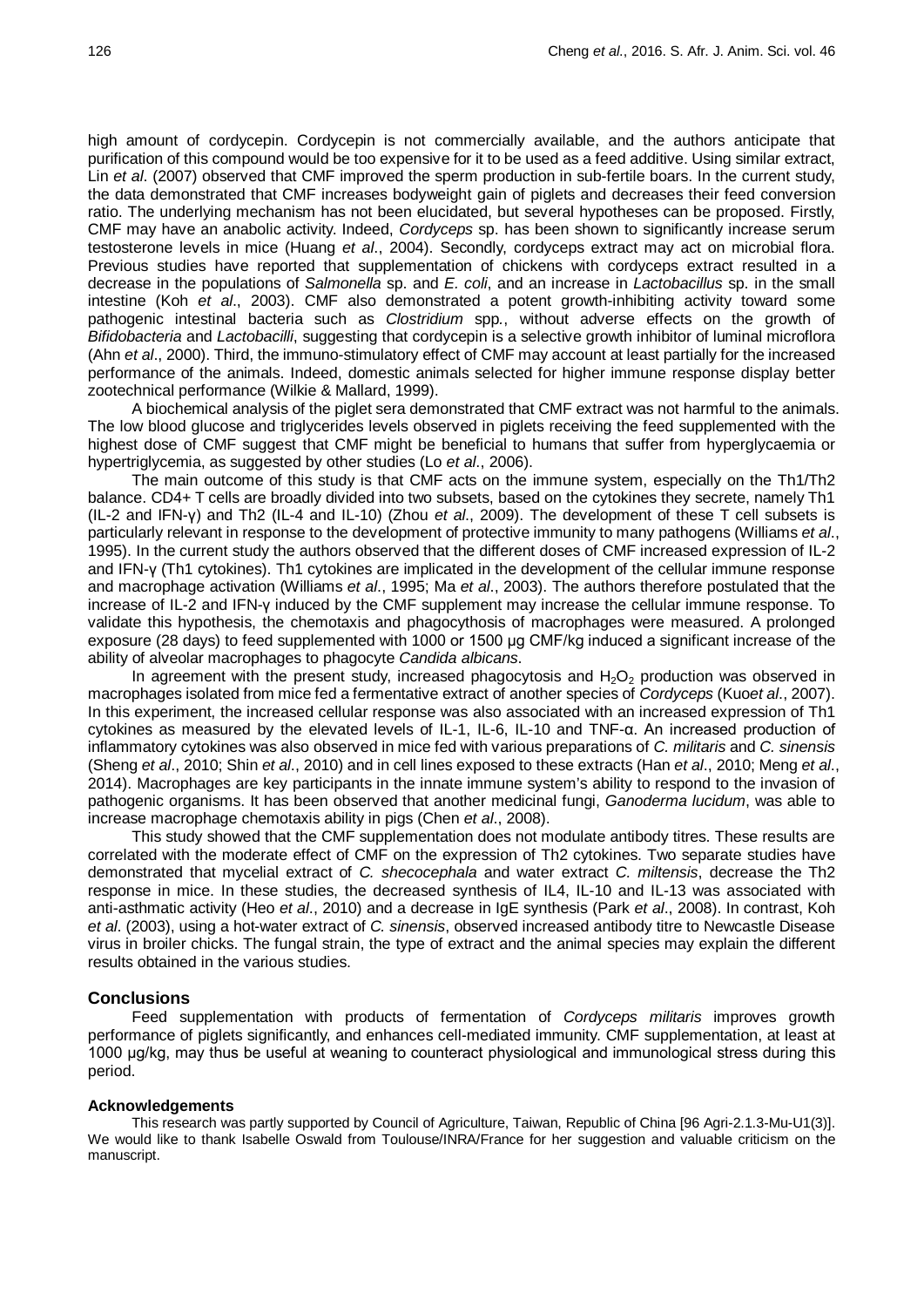high amount of cordycepin. Cordycepin is not commercially available, and the authors anticipate that purification of this compound would be too expensive for it to be used as a feed additive. Using similar extract, Lin *et al*. (2007) observed that CMF improved the sperm production in sub-fertile boars. In the current study, the data demonstrated that CMF increases bodyweight gain of piglets and decreases their feed conversion ratio. The underlying mechanism has not been elucidated, but several hypotheses can be proposed. Firstly, CMF may have an anabolic activity. Indeed, *Cordyceps* sp. has been shown to significantly increase serum testosterone levels in mice (Huang *et al*., 2004). Secondly, cordyceps extract may act on microbial flora. Previous studies have reported that supplementation of chickens with cordyceps extract resulted in a decrease in the populations of *Salmonella* sp. and *E. coli*, and an increase in *Lactobacillus* sp. in the small intestine (Koh *et al*., 2003). CMF also demonstrated a potent growth-inhibiting activity toward some pathogenic intestinal bacteria such as *Clostridium* spp*.*, without adverse effects on the growth of *Bifidobacteria* and *Lactobacilli*, suggesting that cordycepin is a selective growth inhibitor of luminal microflora (Ahn *et al*., 2000). Third, the immuno-stimulatory effect of CMF may account at least partially for the increased performance of the animals. Indeed, domestic animals selected for higher immune response display better zootechnical performance (Wilkie & Mallard, 1999).

A biochemical analysis of the piglet sera demonstrated that CMF extract was not harmful to the animals. The low blood glucose and triglycerides levels observed in piglets receiving the feed supplemented with the highest dose of CMF suggest that CMF might be beneficial to humans that suffer from hyperglycaemia or hypertriglycemia, as suggested by other studies (Lo *et al*., 2006).

The main outcome of this study is that CMF acts on the immune system, especially on the Th1/Th2 balance. CD4+ T cells are broadly divided into two subsets, based on the cytokines they secrete, namely Th1 (IL-2 and IFN-γ) and Th2 (IL-4 and IL-10) (Zhou *et al*., 2009). The development of these T cell subsets is particularly relevant in response to the development of protective immunity to many pathogens (Williams *et al*., 1995). In the current study the authors observed that the different doses of CMF increased expression of IL-2 and IFN-γ (Th1 cytokines). Th1 cytokines are implicated in the development of the cellular immune response and macrophage activation (Williams *et al*., 1995; Ma *et al*., 2003). The authors therefore postulated that the increase of IL-2 and IFN-γ induced by the CMF supplement may increase the cellular immune response. To validate this hypothesis, the chemotaxis and phagocythosis of macrophages were measured. A prolonged exposure (28 days) to feed supplemented with 1000 or 1500 μg CMF/kg induced a significant increase of the ability of alveolar macrophages to phagocyte *Candida albicans*.

In agreement with the present study, increased phagocytosis and  $H_2O_2$  production was observed in macrophages isolated from mice fed a fermentative extract of another species of *Cordyceps* (Kuo*et al*., 2007). In this experiment, the increased cellular response was also associated with an increased expression of Th1 cytokines as measured by the elevated levels of IL-1, IL-6, IL-10 and TNF-α. An increased production of inflammatory cytokines was also observed in mice fed with various preparations of *C. militaris* and *C. sinensis* (Sheng *et al*., 2010; Shin *et al*., 2010) and in cell lines exposed to these extracts (Han *et al*., 2010; Meng *et al*., 2014). Macrophages are key participants in the innate immune system's ability to respond to the invasion of pathogenic organisms. It has been observed that another medicinal fungi, *Ganoderma lucidum*, was able to increase macrophage chemotaxis ability in pigs (Chen *et al*., 2008).

This study showed that the CMF supplementation does not modulate antibody titres. These results are correlated with the moderate effect of CMF on the expression of Th2 cytokines. Two separate studies have demonstrated that mycelial extract of *C. shecocephala* and water extract *C. miltensis*, decrease the Th2 response in mice. In these studies, the decreased synthesis of IL4, IL-10 and IL-13 was associated with anti-asthmatic activity (Heo *et al*., 2010) and a decrease in IgE synthesis (Park *et al*., 2008). In contrast, Koh *et al*. (2003), using a hot-water extract of *C. sinensis*, observed increased antibody titre to Newcastle Disease virus in broiler chicks. The fungal strain, the type of extract and the animal species may explain the different results obtained in the various studies.

## **Conclusions**

Feed supplementation with products of fermentation of *Cordyceps militaris* improves growth performance of piglets significantly, and enhances cell-mediated immunity. CMF supplementation, at least at 1000 μg/kg, may thus be useful at weaning to counteract physiological and immunological stress during this period.

#### **Acknowledgements**

This research was partly supported by Council of Agriculture, Taiwan, Republic of China [96 Agri-2.1.3-Mu-U1(3)]. We would like to thank Isabelle Oswald from Toulouse/INRA/France for her suggestion and valuable criticism on the manuscript.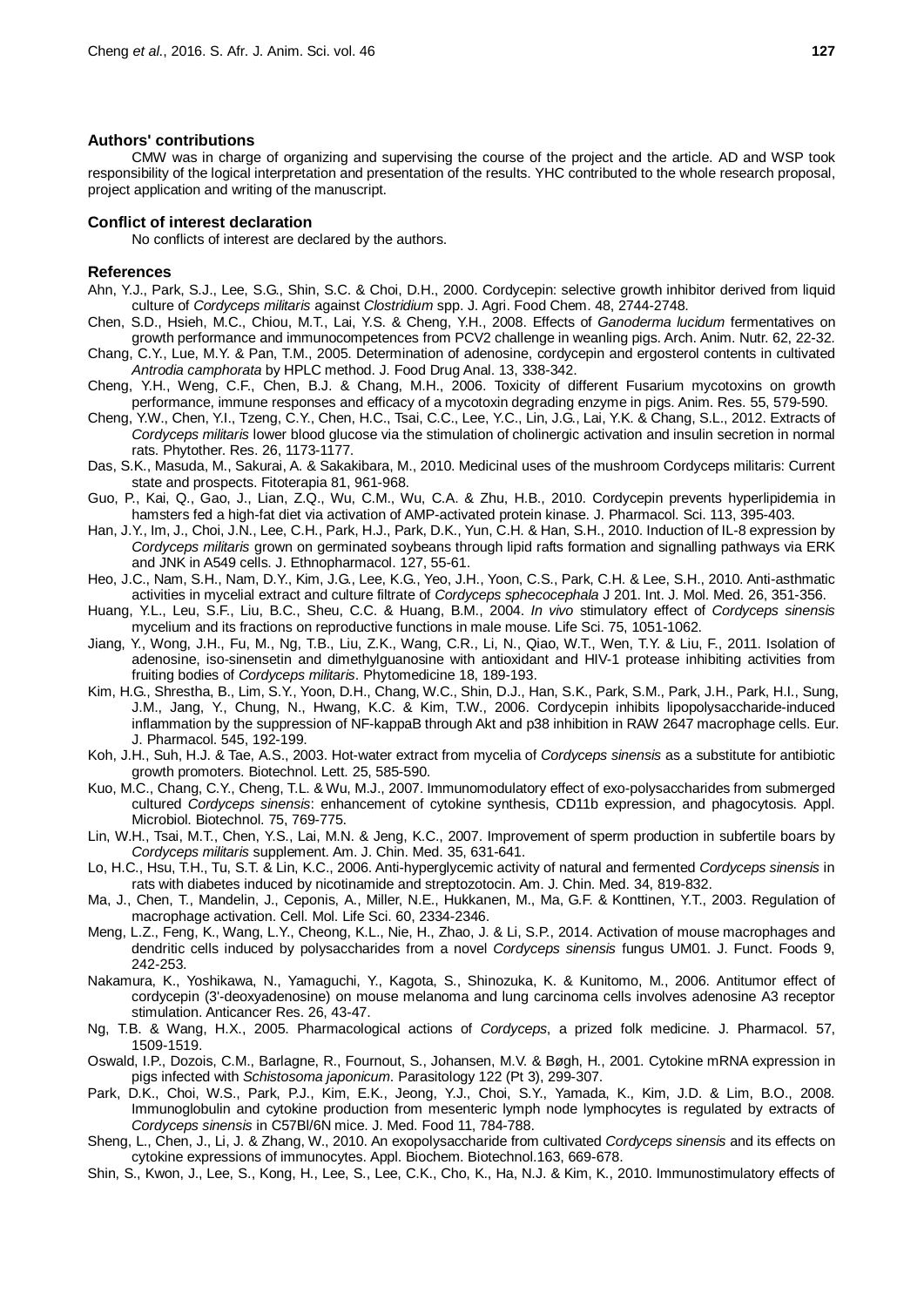#### **Authors' contributions**

CMW was in charge of organizing and supervising the course of the project and the article. AD and WSP took responsibility of the logical interpretation and presentation of the results. YHC contributed to the whole research proposal, project application and writing of the manuscript.

#### **Conflict of interest declaration**

No conflicts of interest are declared by the authors.

#### **References**

- Ahn, Y.J., Park, S.J., Lee, S.G., Shin, S.C. & Choi, D.H., 2000. Cordycepin: selective growth inhibitor derived from liquid culture of *Cordyceps militaris* against *Clostridium* spp. J. Agri. Food Chem. 48, 2744-2748.
- Chen, S.D., Hsieh, M.C., Chiou, M.T., Lai, Y.S. & Cheng, Y.H., 2008. Effects of *Ganoderma lucidum* fermentatives on growth performance and immunocompetences from PCV2 challenge in weanling pigs. Arch. Anim. Nutr. 62, 22-32.
- Chang, C.Y., Lue, M.Y. & Pan, T.M., 2005. Determination of adenosine, cordycepin and ergosterol contents in cultivated *Antrodia camphorata* by HPLC method. J. Food Drug Anal. 13, 338-342.
- Cheng, Y.H., Weng, C.F., Chen, B.J. & Chang, M.H., 2006. Toxicity of different Fusarium mycotoxins on growth performance, immune responses and efficacy of a mycotoxin degrading enzyme in pigs. Anim. Res. 55, 579-590.
- Cheng, Y.W., Chen, Y.I., Tzeng, C.Y., Chen, H.C., Tsai, C.C., Lee, Y.C., Lin, J.G., Lai, Y.K. & Chang, S.L., 2012. Extracts of *Cordyceps militaris* lower blood glucose via the stimulation of cholinergic activation and insulin secretion in normal rats. Phytother. Res. 26, 1173-1177.
- Das, S.K., Masuda, M., Sakurai, A. & Sakakibara, M., 2010. Medicinal uses of the mushroom Cordyceps militaris: Current state and prospects. Fitoterapia 81, 961-968.
- Guo, P., Kai, Q., Gao, J., Lian, Z.Q., Wu, C.M., Wu, C.A. & Zhu, H.B., 2010. Cordycepin prevents hyperlipidemia in hamsters fed a high-fat diet via activation of AMP-activated protein kinase. J. Pharmacol. Sci. 113, 395-403.
- Han, J.Y., Im, J., Choi, J.N., Lee, C.H., Park, H.J., Park, D.K., Yun, C.H. & Han, S.H., 2010. Induction of IL-8 expression by *Cordyceps militaris* grown on germinated soybeans through lipid rafts formation and signalling pathways via ERK and JNK in A549 cells. J. Ethnopharmacol. 127, 55-61.
- Heo, J.C., Nam, S.H., Nam, D.Y., Kim, J.G., Lee, K.G., Yeo, J.H., Yoon, C.S., Park, C.H. & Lee, S.H., 2010. Anti-asthmatic activities in mycelial extract and culture filtrate of *Cordyceps sphecocephala* J 201. Int. J. Mol. Med. 26, 351-356.
- Huang, Y.L., Leu, S.F., Liu, B.C., Sheu, C.C. & Huang, B.M., 2004. *In vivo* stimulatory effect of *Cordyceps sinensis* mycelium and its fractions on reproductive functions in male mouse. Life Sci. 75, 1051-1062.
- Jiang, Y., Wong, J.H., Fu, M., Ng, T.B., Liu, Z.K., Wang, C.R., Li, N., Qiao, W.T., Wen, T.Y. & Liu, F., 2011. Isolation of adenosine, iso-sinensetin and dimethylguanosine with antioxidant and HIV-1 protease inhibiting activities from fruiting bodies of *Cordyceps militaris*. Phytomedicine 18, 189-193.
- Kim, H.G., Shrestha, B., Lim, S.Y., Yoon, D.H., Chang, W.C., Shin, D.J., Han, S.K., Park, S.M., Park, J.H., Park, H.I., Sung, J.M., Jang, Y., Chung, N., Hwang, K.C. & Kim, T.W., 2006. Cordycepin inhibits lipopolysaccharide-induced inflammation by the suppression of NF-kappaB through Akt and p38 inhibition in RAW 2647 macrophage cells. Eur. J. Pharmacol. 545, 192-199.
- Koh, J.H., Suh, H.J. & Tae, A.S., 2003. Hot-water extract from mycelia of *Cordyceps sinensis* as a substitute for antibiotic growth promoters. Biotechnol. Lett. 25, 585-590.
- Kuo, M.C., Chang, C.Y., Cheng, T.L. & Wu, M.J., 2007. Immunomodulatory effect of exo-polysaccharides from submerged cultured *Cordyceps sinensis*: enhancement of cytokine synthesis, CD11b expression, and phagocytosis. Appl. Microbiol. Biotechnol. 75, 769-775.
- Lin, W.H., Tsai, M.T., Chen, Y.S., Lai, M.N. & Jeng, K.C., 2007. Improvement of sperm production in subfertile boars by *Cordyceps militaris* supplement. Am. J. Chin. Med. 35, 631-641.
- Lo, H.C., Hsu, T.H., Tu, S.T. & Lin, K.C., 2006. Anti-hyperglycemic activity of natural and fermented *Cordyceps sinensis* in rats with diabetes induced by nicotinamide and streptozotocin. Am. J. Chin. Med. 34, 819-832.
- Ma, J., Chen, T., Mandelin, J., Ceponis, A., Miller, N.E., Hukkanen, M., Ma, G.F. & Konttinen, Y.T., 2003. Regulation of macrophage activation. Cell. Mol. Life Sci. 60, 2334-2346.
- Meng, L.Z., Feng, K., Wang, L.Y., Cheong, K.L., Nie, H., Zhao, J. & Li, S.P., 2014. Activation of mouse macrophages and dendritic cells induced by polysaccharides from a novel *Cordyceps sinensis* fungus UM01. J. Funct. Foods 9, 242-253.
- Nakamura, K., Yoshikawa, N., Yamaguchi, Y., Kagota, S., Shinozuka, K. & Kunitomo, M., 2006. Antitumor effect of cordycepin (3'-deoxyadenosine) on mouse melanoma and lung carcinoma cells involves adenosine A3 receptor stimulation. Anticancer Res. 26, 43-47.
- Ng, T.B. & Wang, H.X., 2005. Pharmacological actions of *Cordyceps*, a prized folk medicine. J. Pharmacol. 57, 1509-1519.
- Oswald, I.P., Dozois, C.M., Barlagne, R., Fournout, S., Johansen, M.V. & Bøgh, H., 2001. Cytokine mRNA expression in pigs infected with *Schistosoma japonicum*. Parasitology 122 (Pt 3), 299-307.
- Park, D.K., Choi, W.S., Park, P.J., Kim, E.K., Jeong, Y.J., Choi, S.Y., Yamada, K., Kim, J.D. & Lim, B.O., 2008. Immunoglobulin and cytokine production from mesenteric lymph node lymphocytes is regulated by extracts of *Cordyceps sinensis* in C57Bl/6N mice. J. Med. Food 11, 784-788.
- Sheng, L., Chen, J., Li, J. & Zhang, W., 2010. An exopolysaccharide from cultivated *Cordyceps sinensis* and its effects on cytokine expressions of immunocytes. Appl. Biochem. Biotechnol.163, 669-678.
- Shin, S., Kwon, J., Lee, S., Kong, H., Lee, S., Lee, C.K., Cho, K., Ha, N.J. & Kim, K., 2010. Immunostimulatory effects of